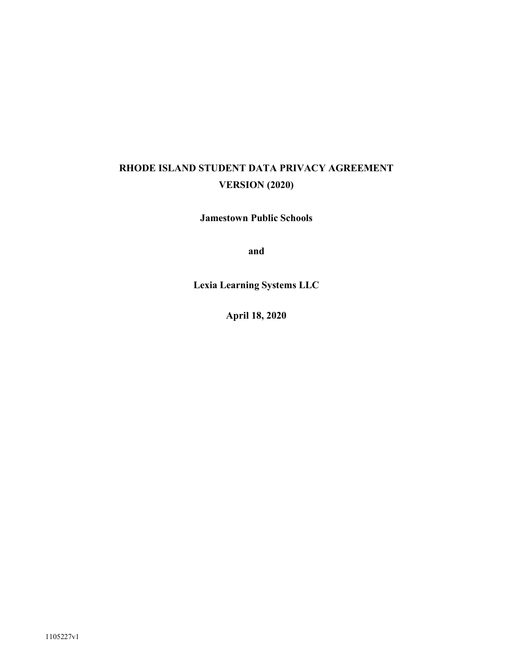# **RHODE ISLAND STUDENT DATA PRIVACY AGREEMENT VERSION (2020)**

**Jamestown Public Schools** 

**and**

**Lexia Learning Systems LLC** 

**April 18, 2020**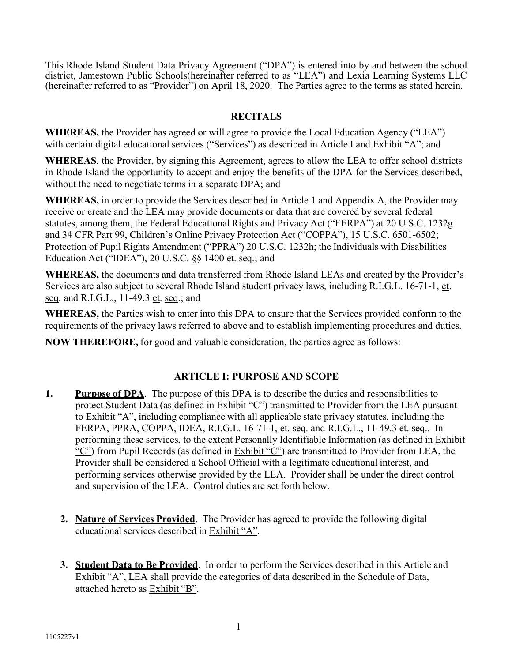This Rhode Island Student Data Privacy Agreement ("DPA") is entered into by and between the school district, Jamestown Public Schools(hereinafter referred to as "LEA") and Lexia Learning Systems LLC (hereinafter referred to as "Provider") on April 18, 2020. The Parties agree to the terms as stated herein.

# **RECITALS**

**WHEREAS,** the Provider has agreed or will agree to provide the Local Education Agency ("LEA") with certain digital educational services ("Services") as described in Article I and Exhibit "A"; and

**WHEREAS**, the Provider, by signing this Agreement, agrees to allow the LEA to offer school districts in Rhode Island the opportunity to accept and enjoy the benefits of the DPA for the Services described, without the need to negotiate terms in a separate DPA; and

**WHEREAS,** in order to provide the Services described in Article 1 and Appendix A, the Provider may receive or create and the LEA may provide documents or data that are covered by several federal statutes, among them, the Federal Educational Rights and Privacy Act ("FERPA") at 20 U.S.C. 1232g and 34 CFR Part 99, Children's Online Privacy Protection Act ("COPPA"), 15 U.S.C. 6501-6502; Protection of Pupil Rights Amendment ("PPRA") 20 U.S.C. 1232h; the Individuals with Disabilities Education Act ("IDEA"), 20 U.S.C. §§ 1400 et. seq.; and

**WHEREAS,** the documents and data transferred from Rhode Island LEAs and created by the Provider's Services are also subject to several Rhode Island student privacy laws, including R.I.G.L. 16-71-1, et. seq. and R.I.G.L., 11-49.3 et. seq.; and

**WHEREAS,** the Parties wish to enter into this DPA to ensure that the Services provided conform to the requirements of the privacy laws referred to above and to establish implementing procedures and duties.

**NOW THEREFORE,** for good and valuable consideration, the parties agree as follows:

# **ARTICLE I: PURPOSE AND SCOPE**

- **1.** Purpose of DPA. The purpose of this DPA is to describe the duties and responsibilities to protect Student Data (as defined in Exhibit "C") transmitted to Provider from the LEA pursuant to Exhibit "A", including compliance with all applicable state privacy statutes, including the FERPA, PPRA, COPPA, IDEA, R.I.G.L. 16-71-1, et. seq. and R.I.G.L., 11-49.3 et. seq.. In performing these services, to the extent Personally Identifiable Information (as defined in Exhibit "C") from Pupil Records (as defined in Exhibit "C") are transmitted to Provider from LEA, the Provider shall be considered a School Official with a legitimate educational interest, and performing services otherwise provided by the LEA. Provider shall be under the direct control and supervision of the LEA. Control duties are set forth below.
	- **2. Nature of Services Provided**. The Provider has agreed to provide the following digital educational services described in Exhibit "A".
	- **3. Student Data to Be Provided**. In order to perform the Services described in this Article and Exhibit "A", LEA shall provide the categories of data described in the Schedule of Data, attached hereto as Exhibit "B".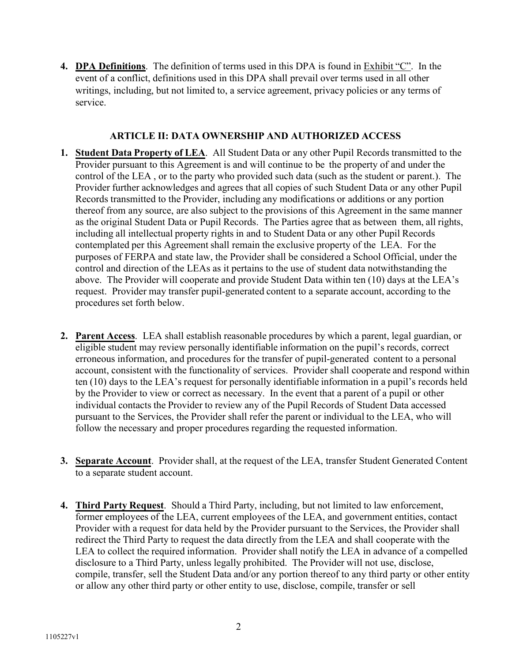**4. DPA Definitions**. The definition of terms used in this DPA is found in Exhibit "C". In the event of a conflict, definitions used in this DPA shall prevail over terms used in all other writings, including, but not limited to, a service agreement, privacy policies or any terms of service.

## **ARTICLE II: DATA OWNERSHIP AND AUTHORIZED ACCESS**

- **1. Student Data Property of LEA**. All Student Data or any other Pupil Records transmitted to the Provider pursuant to this Agreement is and will continue to be the property of and under the control of the LEA , or to the party who provided such data (such as the student or parent.). The Provider further acknowledges and agrees that all copies of such Student Data or any other Pupil Records transmitted to the Provider, including any modifications or additions or any portion thereof from any source, are also subject to the provisions of this Agreement in the same manner as the original Student Data or Pupil Records. The Parties agree that as between  them, all rights, including all intellectual property rights in and to Student Data or any other Pupil Records contemplated per this Agreement shall remain the exclusive property of the LEA. For the purposes of FERPA and state law, the Provider shall be considered a School Official, under the control and direction of the LEAs as it pertains to the use of student data notwithstanding the above. The Provider will cooperate and provide Student Data within ten (10) days at the LEA's request. Provider may transfer pupil-generated content to a separate account, according to the procedures set forth below.
- **2. Parent Access**. LEA shall establish reasonable procedures by which a parent, legal guardian, or eligible student may review personally identifiable information on the pupil's records, correct erroneous information, and procedures for the transfer of pupil-generated  content to a personal account, consistent with the functionality of services. Provider shall cooperate and respond within ten (10) days to the LEA's request for personally identifiable information in a pupil's records held by the Provider to view or correct as necessary. In the event that a parent of a pupil or other individual contacts the Provider to review any of the Pupil Records of Student Data accessed pursuant to the Services, the Provider shall refer the parent or individual to the LEA, who will follow the necessary and proper procedures regarding the requested information.
- **3. Separate Account**. Provider shall, at the request of the LEA, transfer Student Generated Content to a separate student account.
- **4. Third Party Request**. Should a Third Party, including, but not limited to law enforcement, former employees of the LEA, current employees of the LEA, and government entities, contact Provider with a request for data held by the Provider pursuant to the Services, the Provider shall redirect the Third Party to request the data directly from the LEA and shall cooperate with the LEA to collect the required information. Provider shall notify the LEA in advance of a compelled disclosure to a Third Party, unless legally prohibited. The Provider will not use, disclose, compile, transfer, sell the Student Data and/or any portion thereof to any third party or other entity or allow any other third party or other entity to use, disclose, compile, transfer or sell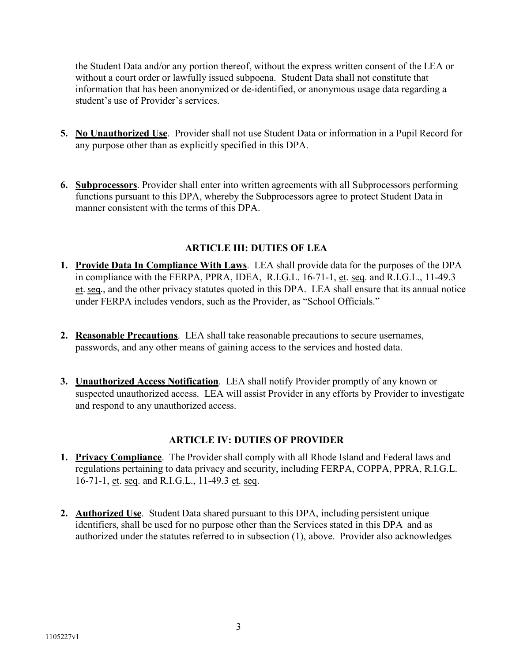the Student Data and/or any portion thereof, without the express written consent of the LEA or without a court order or lawfully issued subpoena. Student Data shall not constitute that information that has been anonymized or de-identified, or anonymous usage data regarding a student's use of Provider's services.

- **5. No Unauthorized Use**. Provider shall not use Student Data or information in a Pupil Record for any purpose other than as explicitly specified in this DPA.
- **6. Subprocessors**. Provider shall enter into written agreements with all Subprocessors performing functions pursuant to this DPA, whereby the Subprocessors agree to protect Student Data in manner consistent with the terms of this DPA.

# **ARTICLE III: DUTIES OF LEA**

- **1. Provide Data In Compliance With Laws**. LEA shall provide data for the purposes of the DPA in compliance with the FERPA, PPRA, IDEA, R.I.G.L. 16-71-1, et. seq. and R.I.G.L., 11-49.3 et. seq., and the other privacy statutes quoted in this DPA. LEA shall ensure that its annual notice under FERPA includes vendors, such as the Provider, as "School Officials."
- **2. Reasonable Precautions**. LEA shall take reasonable precautions to secure usernames, passwords, and any other means of gaining access to the services and hosted data.
- **3. Unauthorized Access Notification**. LEA shall notify Provider promptly of any known or suspected unauthorized access. LEA will assist Provider in any efforts by Provider to investigate and respond to any unauthorized access.

## **ARTICLE IV: DUTIES OF PROVIDER**

- **1. Privacy Compliance**. The Provider shall comply with all Rhode Island and Federal laws and regulations pertaining to data privacy and security, including FERPA, COPPA, PPRA, R.I.G.L. 16-71-1, et. seq. and R.I.G.L., 11-49.3 et. seq.
- **2. Authorized Use**. Student Data shared pursuant to this DPA, including persistent unique identifiers, shall be used for no purpose other than the Services stated in this DPA and as authorized under the statutes referred to in subsection (1), above. Provider also acknowledges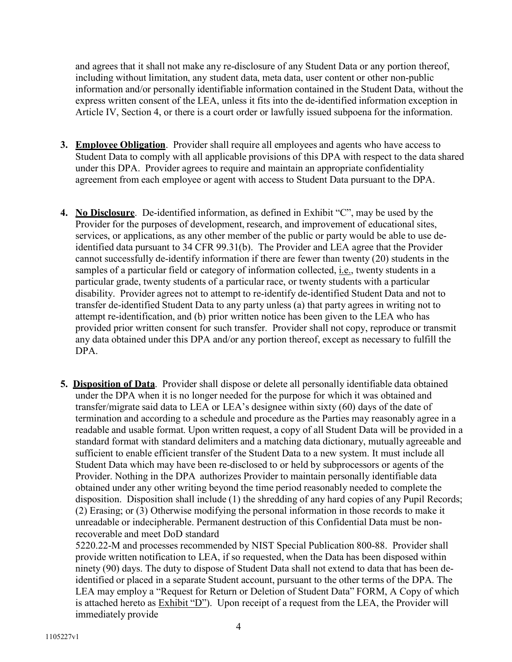and agrees that it shall not make any re-disclosure of any Student Data or any portion thereof, including without limitation, any student data, meta data, user content or other non-public information and/or personally identifiable information contained in the Student Data, without the express written consent of the LEA, unless it fits into the de-identified information exception in Article IV, Section 4, or there is a court order or lawfully issued subpoena for the information.

- **3. Employee Obligation**. Provider shall require all employees and agents who have access to Student Data to comply with all applicable provisions of this DPA with respect to the data shared under this DPA. Provider agrees to require and maintain an appropriate confidentiality agreement from each employee or agent with access to Student Data pursuant to the DPA.
- **4. No Disclosure**. De-identified information, as defined in Exhibit "C", may be used by the Provider for the purposes of development, research, and improvement of educational sites, services, or applications, as any other member of the public or party would be able to use deidentified data pursuant to 34 CFR 99.31(b). The Provider and LEA agree that the Provider cannot successfully de-identify information if there are fewer than twenty (20) students in the samples of a particular field or category of information collected, i.e., twenty students in a particular grade, twenty students of a particular race, or twenty students with a particular disability. Provider agrees not to attempt to re-identify de-identified Student Data and not to transfer de-identified Student Data to any party unless (a) that party agrees in writing not to attempt re-identification, and (b) prior written notice has been given to the LEA who has provided prior written consent for such transfer. Provider shall not copy, reproduce or transmit any data obtained under this DPA and/or any portion thereof, except as necessary to fulfill the DPA.
- **5. Disposition of Data**. Provider shall dispose or delete all personally identifiable data obtained under the DPA when it is no longer needed for the purpose for which it was obtained and transfer/migrate said data to LEA or LEA's designee within sixty (60) days of the date of termination and according to a schedule and procedure as the Parties may reasonably agree in a readable and usable format. Upon written request, a copy of all Student Data will be provided in a standard format with standard delimiters and a matching data dictionary, mutually agreeable and sufficient to enable efficient transfer of the Student Data to a new system. It must include all Student Data which may have been re-disclosed to or held by subprocessors or agents of the Provider. Nothing in the DPA authorizes Provider to maintain personally identifiable data obtained under any other writing beyond the time period reasonably needed to complete the disposition. Disposition shall include (1) the shredding of any hard copies of any Pupil Records; (2) Erasing; or (3) Otherwise modifying the personal information in those records to make it unreadable or indecipherable. Permanent destruction of this Confidential Data must be nonrecoverable and meet DoD standard

5220.22-M and processes recommended by NIST Special Publication 800-88. Provider shall provide written notification to LEA, if so requested, when the Data has been disposed within ninety (90) days. The duty to dispose of Student Data shall not extend to data that has been deidentified or placed in a separate Student account, pursuant to the other terms of the DPA. The LEA may employ a "Request for Return or Deletion of Student Data" FORM, A Copy of which is attached hereto as Exhibit "D"). Upon receipt of a request from the LEA, the Provider will immediately provide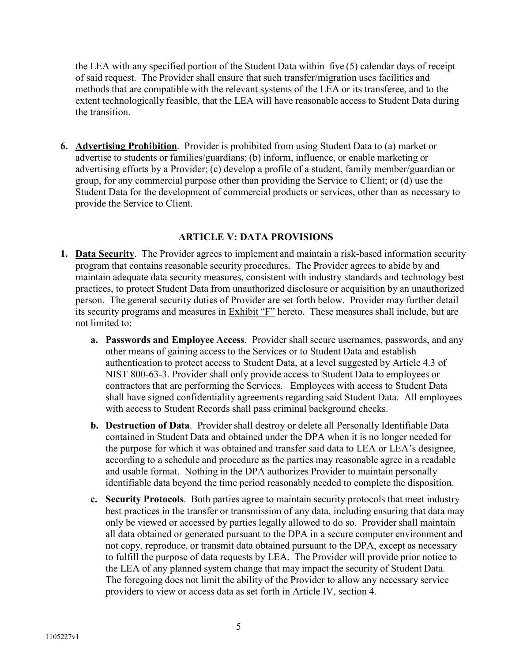the LEA with any specified portion of the Student Data within five (5) calendar days of receipt of said request. The Provider shall ensure that such transfer/migration uses facilities and methods that are compatible with the relevant systems of the LEA or its transferee, and to the extent technologically feasible, that the LEA will have reasonable access to Student Data during the transition.

**6. Advertising Prohibition**. Provider is prohibited from using Student Data to (a) market or advertise to students or families/guardians; (b) inform, influence, or enable marketing or advertising efforts by a Provider; (c) develop a profile of a student, family member/guardian or group, for any commercial purpose other than providing the Service to Client; or (d) use the Student Data for the development of commercial products or services, other than as necessary to provide the Service to Client.

## **ARTICLE V: DATA PROVISIONS**

- **1. Data Security**. The Provider agrees to implement and maintain a risk-based information security program that contains reasonable security procedures. The Provider agrees to abide by and maintain adequate data security measures, consistent with industry standards and technology best practices, to protect Student Data from unauthorized disclosure or acquisition by an unauthorized person. The general security duties of Provider are set forth below. Provider may further detail its security programs and measures in Exhibit "F" hereto. These measures shall include, but are not limited to:
	- **a. Passwords and Employee Access**. Provider shall secure usernames, passwords, and any other means of gaining access to the Services or to Student Data and establish authentication to protect access to Student Data, at a level suggested by Article 4.3 of NIST 800-63-3. Provider shall only provide access to Student Data to employees or contractors that are performing the Services. Employees with access to Student Data shall have signed confidentiality agreements regarding said Student Data. All employees with access to Student Records shall pass criminal background checks.
	- **b. Destruction of Data**. Provider shall destroy or delete all Personally Identifiable Data contained in Student Data and obtained under the DPA when it is no longer needed for the purpose for which it was obtained and transfer said data to LEA or LEA's designee, according to a schedule and procedure as the parties may reasonable agree in a readable and usable format. Nothing in the DPA authorizes Provider to maintain personally identifiable data beyond the time period reasonably needed to complete the disposition.
	- **c. Security Protocols**. Both parties agree to maintain security protocols that meet industry best practices in the transfer or transmission of any data, including ensuring that data may only be viewed or accessed by parties legally allowed to do so. Provider shall maintain all data obtained or generated pursuant to the DPA in a secure computer environment and not copy, reproduce, or transmit data obtained pursuant to the DPA, except as necessary to fulfill the purpose of data requests by LEA. The Provider will provide prior notice to the LEA of any planned system change that may impact the security of Student Data. The foregoing does not limit the ability of the Provider to allow any necessary service providers to view or access data as set forth in Article IV, section 4.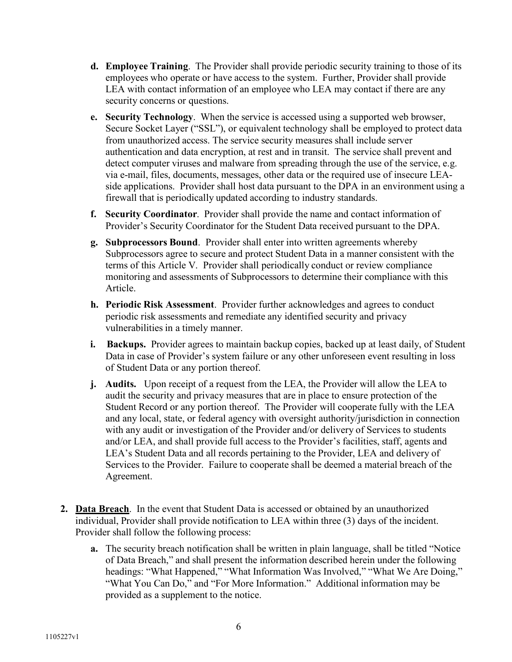- **d. Employee Training**. The Provider shall provide periodic security training to those of its employees who operate or have access to the system. Further, Provider shall provide LEA with contact information of an employee who LEA may contact if there are any security concerns or questions.
- **e. Security Technology**. When the service is accessed using a supported web browser, Secure Socket Layer ("SSL"), or equivalent technology shall be employed to protect data from unauthorized access. The service security measures shall include server authentication and data encryption, at rest and in transit. The service shall prevent and detect computer viruses and malware from spreading through the use of the service, e.g. via e-mail, files, documents, messages, other data or the required use of insecure LEAside applications. Provider shall host data pursuant to the DPA in an environment using a firewall that is periodically updated according to industry standards.
- **f. Security Coordinator**. Provider shall provide the name and contact information of Provider's Security Coordinator for the Student Data received pursuant to the DPA.
- **g. Subprocessors Bound**. Provider shall enter into written agreements whereby Subprocessors agree to secure and protect Student Data in a manner consistent with the terms of this Article V. Provider shall periodically conduct or review compliance monitoring and assessments of Subprocessors to determine their compliance with this Article.
- **h. Periodic Risk Assessment**. Provider further acknowledges and agrees to conduct periodic risk assessments and remediate any identified security and privacy vulnerabilities in a timely manner.
- **i. Backups.** Provider agrees to maintain backup copies, backed up at least daily, of Student Data in case of Provider's system failure or any other unforeseen event resulting in loss of Student Data or any portion thereof.
- **j. Audits.** Upon receipt of a request from the LEA, the Provider will allow the LEA to audit the security and privacy measures that are in place to ensure protection of the Student Record or any portion thereof. The Provider will cooperate fully with the LEA and any local, state, or federal agency with oversight authority/jurisdiction in connection with any audit or investigation of the Provider and/or delivery of Services to students and/or LEA, and shall provide full access to the Provider's facilities, staff, agents and LEA's Student Data and all records pertaining to the Provider, LEA and delivery of Services to the Provider. Failure to cooperate shall be deemed a material breach of the Agreement.
- **2. Data Breach**. In the event that Student Data is accessed or obtained by an unauthorized individual, Provider shall provide notification to LEA within three (3) days of the incident. Provider shall follow the following process:
	- **a.** The security breach notification shall be written in plain language, shall be titled "Notice of Data Breach," and shall present the information described herein under the following headings: "What Happened," "What Information Was Involved," "What We Are Doing," "What You Can Do," and "For More Information." Additional information may be provided as a supplement to the notice.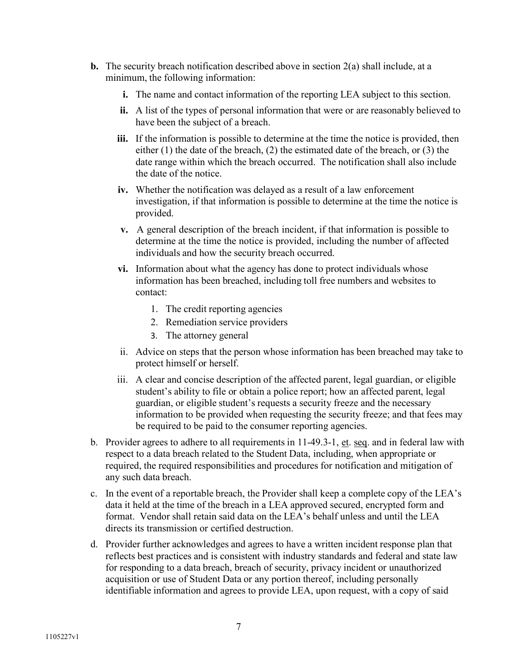- **b.** The security breach notification described above in section 2(a) shall include, at a minimum, the following information:
	- **i.** The name and contact information of the reporting LEA subject to this section.
	- **ii.** A list of the types of personal information that were or are reasonably believed to have been the subject of a breach.
	- **iii.** If the information is possible to determine at the time the notice is provided, then either (1) the date of the breach, (2) the estimated date of the breach, or (3) the date range within which the breach occurred. The notification shall also include the date of the notice.
	- **iv.** Whether the notification was delayed as a result of a law enforcement investigation, if that information is possible to determine at the time the notice is provided.
	- **v.** A general description of the breach incident, if that information is possible to determine at the time the notice is provided, including the number of affected individuals and how the security breach occurred.
	- **vi.** Information about what the agency has done to protect individuals whose information has been breached, including toll free numbers and websites to contact:
		- 1. The credit reporting agencies
		- 2. Remediation service providers
		- 3. The attorney general
	- ii. Advice on steps that the person whose information has been breached may take to protect himself or herself.
	- iii. A clear and concise description of the affected parent, legal guardian, or eligible student's ability to file or obtain a police report; how an affected parent, legal guardian, or eligible student's requests a security freeze and the necessary information to be provided when requesting the security freeze; and that fees may be required to be paid to the consumer reporting agencies.
- b. Provider agrees to adhere to all requirements in 11-49.3-1, et. seq. and in federal law with respect to a data breach related to the Student Data, including, when appropriate or required, the required responsibilities and procedures for notification and mitigation of any such data breach.
- c. In the event of a reportable breach, the Provider shall keep a complete copy of the LEA's data it held at the time of the breach in a LEA approved secured, encrypted form and format. Vendor shall retain said data on the LEA's behalf unless and until the LEA directs its transmission or certified destruction.
- d. Provider further acknowledges and agrees to have a written incident response plan that reflects best practices and is consistent with industry standards and federal and state law for responding to a data breach, breach of security, privacy incident or unauthorized acquisition or use of Student Data or any portion thereof, including personally identifiable information and agrees to provide LEA, upon request, with a copy of said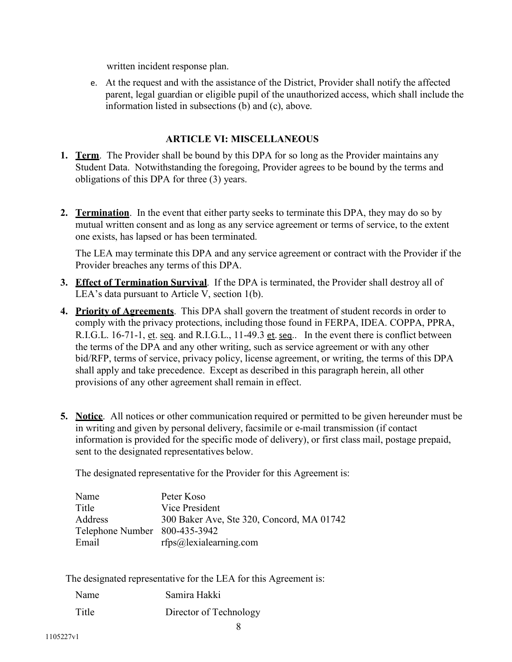written incident response plan.

e. At the request and with the assistance of the District, Provider shall notify the affected parent, legal guardian or eligible pupil of the unauthorized access, which shall include the information listed in subsections (b) and (c), above.

# **ARTICLE VI: MISCELLANEOUS**

- **1. Term**. The Provider shall be bound by this DPA for so long as the Provider maintains any Student Data. Notwithstanding the foregoing, Provider agrees to be bound by the terms and obligations of this DPA for three (3) years.
- **2. Termination**. In the event that either party seeks to terminate this DPA, they may do so by mutual written consent and as long as any service agreement or terms of service, to the extent one exists, has lapsed or has been terminated.

The LEA may terminate this DPA and any service agreement or contract with the Provider if the Provider breaches any terms of this DPA.

- **3. Effect of Termination Survival**. If the DPA is terminated, the Provider shall destroy all of LEA's data pursuant to Article V, section 1(b).
- **4. Priority of Agreements**. This DPA shall govern the treatment of student records in order to comply with the privacy protections, including those found in FERPA, IDEA. COPPA, PPRA, R.I.G.L. 16-71-1, et. seq. and R.I.G.L., 11-49.3 et. seq.. In the event there is conflict between the terms of the DPA and any other writing, such as service agreement or with any other bid/RFP, terms of service, privacy policy, license agreement, or writing, the terms of this DPA shall apply and take precedence. Except as described in this paragraph herein, all other provisions of any other agreement shall remain in effect.
- **5. Notice**. All notices or other communication required or permitted to be given hereunder must be in writing and given by personal delivery, facsimile or e-mail transmission (if contact information is provided for the specific mode of delivery), or first class mail, postage prepaid, sent to the designated representatives below.

The designated representative for the Provider for this Agreement is:

| Name                          | Peter Koso                                |
|-------------------------------|-------------------------------------------|
| Title                         | Vice President                            |
| Address                       | 300 Baker Ave, Ste 320, Concord, MA 01742 |
| Telephone Number 800-435-3942 |                                           |
| Email                         | $rfps@$ lexialearning.com                 |

The designated representative for the LEA for this Agreement is:

| Name  | Samira Hakki           |
|-------|------------------------|
| Title | Director of Technology |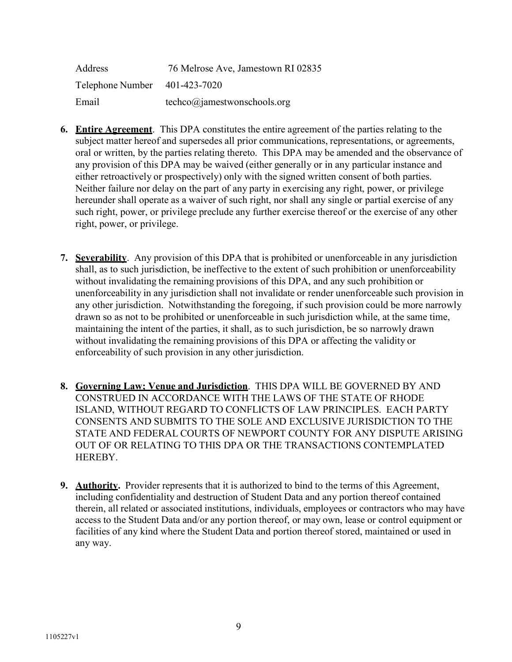| Address                       | 76 Melrose Ave, Jamestown RI 02835             |
|-------------------------------|------------------------------------------------|
| Telephone Number 401-423-7020 |                                                |
| Email                         | $techco(\widehat{\alpha})$ amestwonschools.org |

- **6. Entire Agreement**. This DPA constitutes the entire agreement of the parties relating to the subject matter hereof and supersedes all prior communications, representations, or agreements, oral or written, by the parties relating thereto. This DPA may be amended and the observance of any provision of this DPA may be waived (either generally or in any particular instance and either retroactively or prospectively) only with the signed written consent of both parties. Neither failure nor delay on the part of any party in exercising any right, power, or privilege hereunder shall operate as a waiver of such right, nor shall any single or partial exercise of any such right, power, or privilege preclude any further exercise thereof or the exercise of any other right, power, or privilege.
- **7. Severability**. Any provision of this DPA that is prohibited or unenforceable in any jurisdiction shall, as to such jurisdiction, be ineffective to the extent of such prohibition or unenforceability without invalidating the remaining provisions of this DPA, and any such prohibition or unenforceability in any jurisdiction shall not invalidate or render unenforceable such provision in any other jurisdiction. Notwithstanding the foregoing, if such provision could be more narrowly drawn so as not to be prohibited or unenforceable in such jurisdiction while, at the same time, maintaining the intent of the parties, it shall, as to such jurisdiction, be so narrowly drawn without invalidating the remaining provisions of this DPA or affecting the validity or enforceability of such provision in any other jurisdiction.
- **8. Governing Law; Venue and Jurisdiction**. THIS DPA WILL BE GOVERNED BY AND CONSTRUED IN ACCORDANCE WITH THE LAWS OF THE STATE OF RHODE ISLAND, WITHOUT REGARD TO CONFLICTS OF LAW PRINCIPLES. EACH PARTY CONSENTS AND SUBMITS TO THE SOLE AND EXCLUSIVE JURISDICTION TO THE STATE AND FEDERAL COURTS OF NEWPORT COUNTY FOR ANY DISPUTE ARISING OUT OF OR RELATING TO THIS DPA OR THE TRANSACTIONS CONTEMPLATED HEREBY.
- **9. Authority.** Provider represents that it is authorized to bind to the terms of this Agreement, including confidentiality and destruction of Student Data and any portion thereof contained therein, all related or associated institutions, individuals, employees or contractors who may have access to the Student Data and/or any portion thereof, or may own, lease or control equipment or facilities of any kind where the Student Data and portion thereof stored, maintained or used in any way.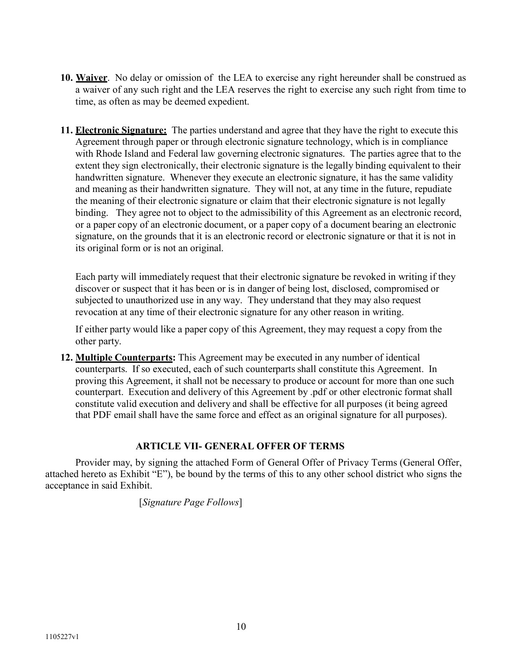- **10. Waiver**. No delay or omission of the LEA to exercise any right hereunder shall be construed as a waiver of any such right and the LEA reserves the right to exercise any such right from time to time, as often as may be deemed expedient.
- **11. Electronic Signature:** The parties understand and agree that they have the right to execute this Agreement through paper or through electronic signature technology, which is in compliance with Rhode Island and Federal law governing electronic signatures. The parties agree that to the extent they sign electronically, their electronic signature is the legally binding equivalent to their handwritten signature. Whenever they execute an electronic signature, it has the same validity and meaning as their handwritten signature. They will not, at any time in the future, repudiate the meaning of their electronic signature or claim that their electronic signature is not legally binding. They agree not to object to the admissibility of this Agreement as an electronic record, or a paper copy of an electronic document, or a paper copy of a document bearing an electronic signature, on the grounds that it is an electronic record or electronic signature or that it is not in its original form or is not an original.

Each party will immediately request that their electronic signature be revoked in writing if they discover or suspect that it has been or is in danger of being lost, disclosed, compromised or subjected to unauthorized use in any way. They understand that they may also request revocation at any time of their electronic signature for any other reason in writing.

If either party would like a paper copy of this Agreement, they may request a copy from the other party.

**12. Multiple Counterparts:** This Agreement may be executed in any number of identical counterparts. If so executed, each of such counterparts shall constitute this Agreement. In proving this Agreement, it shall not be necessary to produce or account for more than one such counterpart. Execution and delivery of this Agreement by .pdf or other electronic format shall constitute valid execution and delivery and shall be effective for all purposes (it being agreed that PDF email shall have the same force and effect as an original signature for all purposes).

## **ARTICLE VII- GENERAL OFFER OF TERMS**

Provider may, by signing the attached Form of General Offer of Privacy Terms (General Offer, attached hereto as Exhibit "E"), be bound by the terms of this to any other school district who signs the acceptance in said Exhibit.

[*Signature Page Follows*]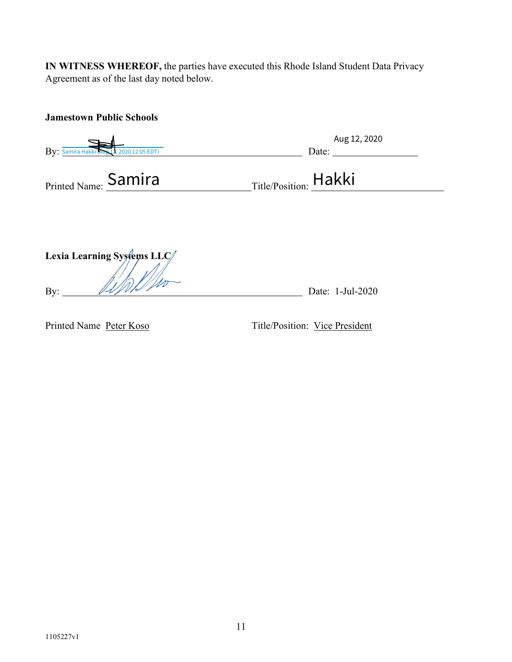**IN WITNESS WHEREOF,** the parties have executed this Rhode Island Student Data Privacy Agreement as of the last day noted below.

| <b>Jamestown Public Schools</b>           |                       |
|-------------------------------------------|-----------------------|
| By: Samira Hakki (Aus 12, 2020 12:05 EDT) | Aug 12, 2020<br>Date: |
| Printed Name: Samira                      | Title/Position: Hakki |
| Lexia Learning Systems LLC                |                       |
| By:                                       | Date: 1-Jul-2020      |

Printed Name Peter Koso Title/Position: Vice President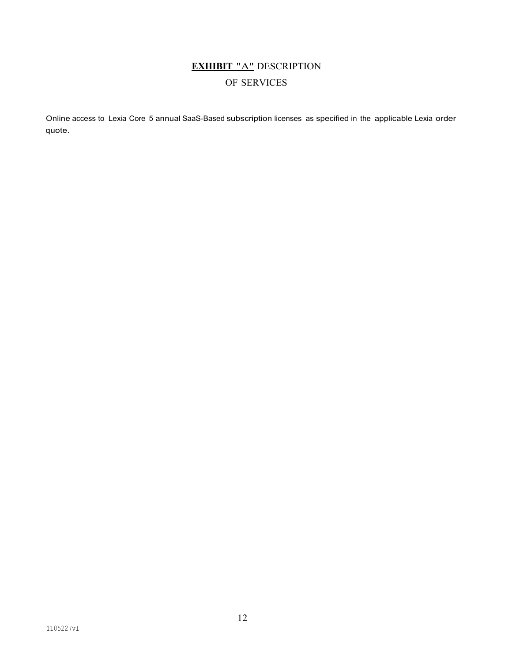# **EXHIBIT** "A" DESCRIPTION OF SERVICES

Online access to Lexia Core 5 annual SaaS-Based subscription licenses as specified in the applicable Lexia order quote.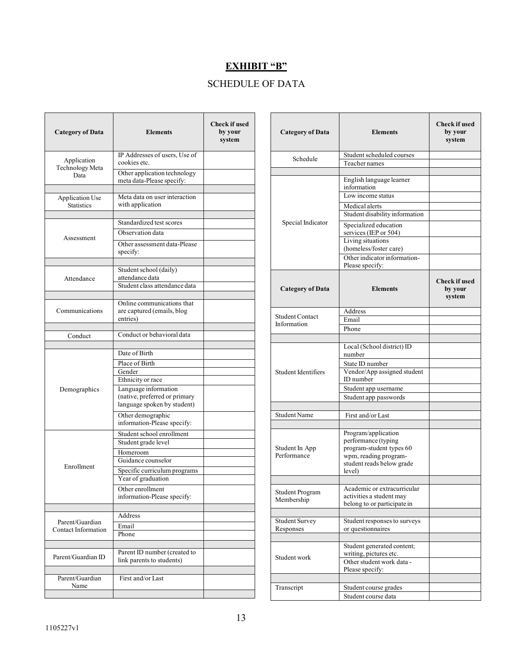# **EXHIBIT "B"**

# SCHEDULE OF DATA

| <b>Category of Data</b>                     | <b>Elements</b>                                                                      | <b>Check if used</b><br>by your<br>system |
|---------------------------------------------|--------------------------------------------------------------------------------------|-------------------------------------------|
| Application<br>Technology Meta              | IP Addresses of users, Use of<br>cookies etc.                                        |                                           |
| Data                                        | Other application technology<br>meta data-Please specify:                            |                                           |
| <b>Application Use</b><br><b>Statistics</b> | Meta data on user interaction<br>with application                                    |                                           |
|                                             | Standardized test scores                                                             |                                           |
|                                             | Observation data                                                                     |                                           |
| Assessment                                  | Other assessment data-Please<br>specify:                                             |                                           |
|                                             | Student school (daily)                                                               |                                           |
| Attendance                                  | attendance data                                                                      |                                           |
|                                             | Student class attendance data                                                        |                                           |
| Communications                              | Online communications that<br>are captured (emails, blog<br>entries)                 |                                           |
| Conduct                                     | Conduct or behavioral data                                                           |                                           |
|                                             |                                                                                      |                                           |
|                                             | Date of Birth                                                                        |                                           |
|                                             | Place of Birth<br>Gender                                                             |                                           |
|                                             | Ethnicity or race                                                                    |                                           |
| Demographics                                | Language information<br>(native, preferred or primary<br>language spoken by student) |                                           |
|                                             | Other demographic<br>information-Please specify:                                     |                                           |
|                                             | Student school enrollment<br>Student grade level                                     |                                           |
| Enrollment                                  | Homeroom<br>Guidance counselor                                                       |                                           |
|                                             | Specific curriculum programs<br>Year of graduation                                   |                                           |
|                                             | Other enrollment<br>information-Please specify:                                      |                                           |
|                                             | Address                                                                              |                                           |
| Parent/Guardian                             | Email                                                                                |                                           |
| Contact Information                         | Phone                                                                                |                                           |
| Parent/Guardian ID                          | Parent ID number (created to<br>link parents to students)                            |                                           |
| Parent/Guardian<br>Name                     | First and/or Last                                                                    |                                           |

| <b>Category of Data</b>               | <b>Elements</b>                                                                                                                                                                                                                                                      | <b>Check if used</b><br>by your<br>system |
|---------------------------------------|----------------------------------------------------------------------------------------------------------------------------------------------------------------------------------------------------------------------------------------------------------------------|-------------------------------------------|
| Schedule                              | Student scheduled courses<br><b>Teacher names</b>                                                                                                                                                                                                                    |                                           |
| Special Indicator                     | English language learner<br>information<br>Low income status<br>Medical alerts<br>Student disability information<br>Specialized education<br>services (IEP or 504)<br>Living situations<br>(homeless/foster care)<br>Other indicator information-<br>Please specify: |                                           |
| <b>Category of Data</b>               | <b>Elements</b>                                                                                                                                                                                                                                                      | <b>Check if used</b><br>by your<br>system |
| <b>Student Contact</b><br>Information | Address<br>Email<br>Phone                                                                                                                                                                                                                                            |                                           |
| <b>Student Identifiers</b>            | Local (School district) ID<br>number<br>State ID number<br>Vendor/App assigned student<br>ID number<br>Student app username<br>Student app passwords                                                                                                                 |                                           |
| <b>Student Name</b>                   | First and/or Last                                                                                                                                                                                                                                                    |                                           |
| Student In App<br>Performance         | Program/application<br>performance (typing<br>program-student types 60<br>wpm, reading program-<br>student reads below grade<br>level)                                                                                                                               |                                           |
| <b>Student Program</b><br>Membership  | Academic or extracurricular<br>activities a student may<br>belong to or participate in                                                                                                                                                                               |                                           |
| <b>Student Survey</b><br>Responses    | Student responses to surveys<br>or questionnaires                                                                                                                                                                                                                    |                                           |
| Student work                          | Student generated content;<br>writing, pictures etc.<br>Other student work data -<br>Please specify:                                                                                                                                                                 |                                           |
| Transcript                            | Student course grades<br>Student course data                                                                                                                                                                                                                         |                                           |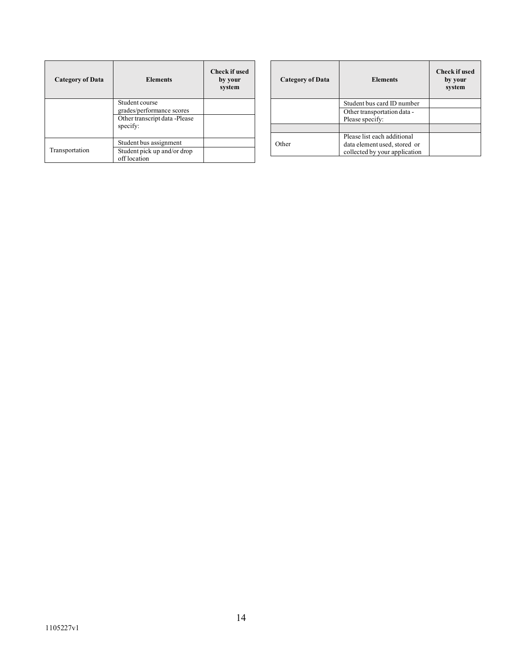| <b>Category of Data</b> | <b>Elements</b>                             | <b>Check if used</b><br>by your<br>system |
|-------------------------|---------------------------------------------|-------------------------------------------|
|                         | Student course<br>grades/performance scores |                                           |
|                         | Other transcript data -Please<br>specify:   |                                           |
| Transportation          | Student bus assignment                      |                                           |
|                         | Student pick up and/or drop<br>off location |                                           |

| <b>Category of Data</b> | <b>Elements</b>                                                                              | <b>Check if used</b><br>by your<br>system |
|-------------------------|----------------------------------------------------------------------------------------------|-------------------------------------------|
|                         | Student bus card ID number                                                                   |                                           |
|                         | Other transportation data -<br>Please specify:                                               |                                           |
|                         |                                                                                              |                                           |
| Other                   | Please list each additional<br>data element used, stored or<br>collected by your application |                                           |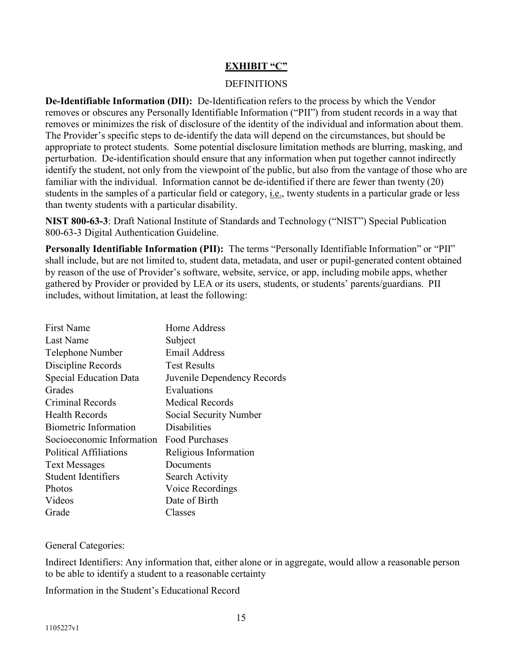#### **EXHIBIT "C"**

#### **DEFINITIONS**

**De-Identifiable Information (DII):** De-Identification refers to the process by which the Vendor removes or obscures any Personally Identifiable Information ("PII") from student records in a way that removes or minimizes the risk of disclosure of the identity of the individual and information about them. The Provider's specific steps to de-identify the data will depend on the circumstances, but should be appropriate to protect students. Some potential disclosure limitation methods are blurring, masking, and perturbation. De-identification should ensure that any information when put together cannot indirectly identify the student, not only from the viewpoint of the public, but also from the vantage of those who are familiar with the individual. Information cannot be de-identified if there are fewer than twenty (20) students in the samples of a particular field or category, i.e., twenty students in a particular grade or less than twenty students with a particular disability.

**NIST 800-63-3**: Draft National Institute of Standards and Technology ("NIST") Special Publication 800-63-3 Digital Authentication Guideline.

**Personally Identifiable Information (PII):** The terms "Personally Identifiable Information" or "PII" shall include, but are not limited to, student data, metadata, and user or pupil-generated content obtained by reason of the use of Provider's software, website, service, or app, including mobile apps, whether gathered by Provider or provided by LEA or its users, students, or students' parents/guardians. PII includes, without limitation, at least the following:

| <b>First Name</b>             | Home Address                |
|-------------------------------|-----------------------------|
| Last Name                     | Subject                     |
| Telephone Number              | <b>Email Address</b>        |
| Discipline Records            | <b>Test Results</b>         |
| <b>Special Education Data</b> | Juvenile Dependency Records |
| Grades                        | Evaluations                 |
| Criminal Records              | Medical Records             |
| <b>Health Records</b>         | Social Security Number      |
| Biometric Information         | <b>Disabilities</b>         |
| Socioeconomic Information     | <b>Food Purchases</b>       |
| Political Affiliations        | Religious Information       |
| <b>Text Messages</b>          | Documents                   |
| <b>Student Identifiers</b>    | Search Activity             |
| Photos                        | Voice Recordings            |
| Videos                        | Date of Birth               |
| Grade                         | Classes                     |

General Categories:

Indirect Identifiers: Any information that, either alone or in aggregate, would allow a reasonable person to be able to identify a student to a reasonable certainty

Information in the Student's Educational Record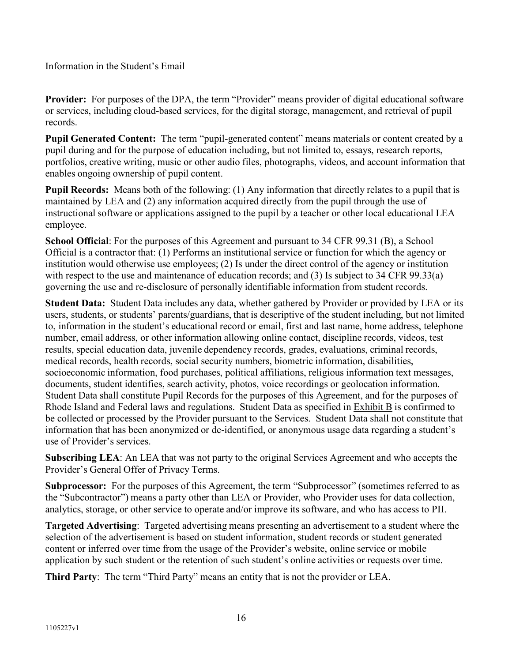Information in the Student's Email

Provider: For purposes of the DPA, the term "Provider" means provider of digital educational software or services, including cloud-based services, for the digital storage, management, and retrieval of pupil records.

**Pupil Generated Content:** The term "pupil-generated content" means materials or content created by a pupil during and for the purpose of education including, but not limited to, essays, research reports, portfolios, creative writing, music or other audio files, photographs, videos, and account information that enables ongoing ownership of pupil content.

**Pupil Records:** Means both of the following: (1) Any information that directly relates to a pupil that is maintained by LEA and (2) any information acquired directly from the pupil through the use of instructional software or applications assigned to the pupil by a teacher or other local educational LEA employee.

**School Official**: For the purposes of this Agreement and pursuant to 34 CFR 99.31 (B), a School Official is a contractor that: (1) Performs an institutional service or function for which the agency or institution would otherwise use employees; (2) Is under the direct control of the agency or institution with respect to the use and maintenance of education records; and (3) Is subject to 34 CFR 99.33(a) governing the use and re-disclosure of personally identifiable information from student records.

**Student Data:** Student Data includes any data, whether gathered by Provider or provided by LEA or its users, students, or students' parents/guardians, that is descriptive of the student including, but not limited to, information in the student's educational record or email, first and last name, home address, telephone number, email address, or other information allowing online contact, discipline records, videos, test results, special education data, juvenile dependency records, grades, evaluations, criminal records, medical records, health records, social security numbers, biometric information, disabilities, socioeconomic information, food purchases, political affiliations, religious information text messages, documents, student identifies, search activity, photos, voice recordings or geolocation information. Student Data shall constitute Pupil Records for the purposes of this Agreement, and for the purposes of Rhode Island and Federal laws and regulations. Student Data as specified in Exhibit B is confirmed to be collected or processed by the Provider pursuant to the Services. Student Data shall not constitute that information that has been anonymized or de-identified, or anonymous usage data regarding a student's use of Provider's services.

**Subscribing LEA**: An LEA that was not party to the original Services Agreement and who accepts the Provider's General Offer of Privacy Terms.

**Subprocessor:** For the purposes of this Agreement, the term "Subprocessor" (sometimes referred to as the "Subcontractor") means a party other than LEA or Provider, who Provider uses for data collection, analytics, storage, or other service to operate and/or improve its software, and who has access to PII.

**Targeted Advertising**: Targeted advertising means presenting an advertisement to a student where the selection of the advertisement is based on student information, student records or student generated content or inferred over time from the usage of the Provider's website, online service or mobile application by such student or the retention of such student's online activities or requests over time.

**Third Party**: The term "Third Party" means an entity that is not the provider or LEA.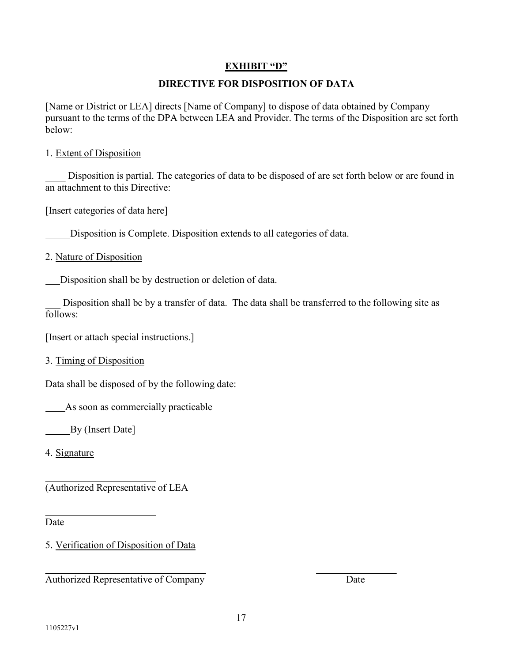# **EXHIBIT "D"**

# **DIRECTIVE FOR DISPOSITION OF DATA**

[Name or District or LEA] directs [Name of Company] to dispose of data obtained by Company pursuant to the terms of the DPA between LEA and Provider. The terms of the Disposition are set forth below:

#### 1. Extent of Disposition

Disposition is partial. The categories of data to be disposed of are set forth below or are found in an attachment to this Directive:

[Insert categories of data here]

Disposition is Complete. Disposition extends to all categories of data.

2. Nature of Disposition

Disposition shall be by destruction or deletion of data.

Disposition shall be by a transfer of data. The data shall be transferred to the following site as follows:

[Insert or attach special instructions.]

3. Timing of Disposition

Data shall be disposed of by the following date:

As soon as commercially practicable

By (Insert Date]

4. Signature

(Authorized Representative of LEA

Date

5. Verification of Disposition of Data

Authorized Representative of Company Date